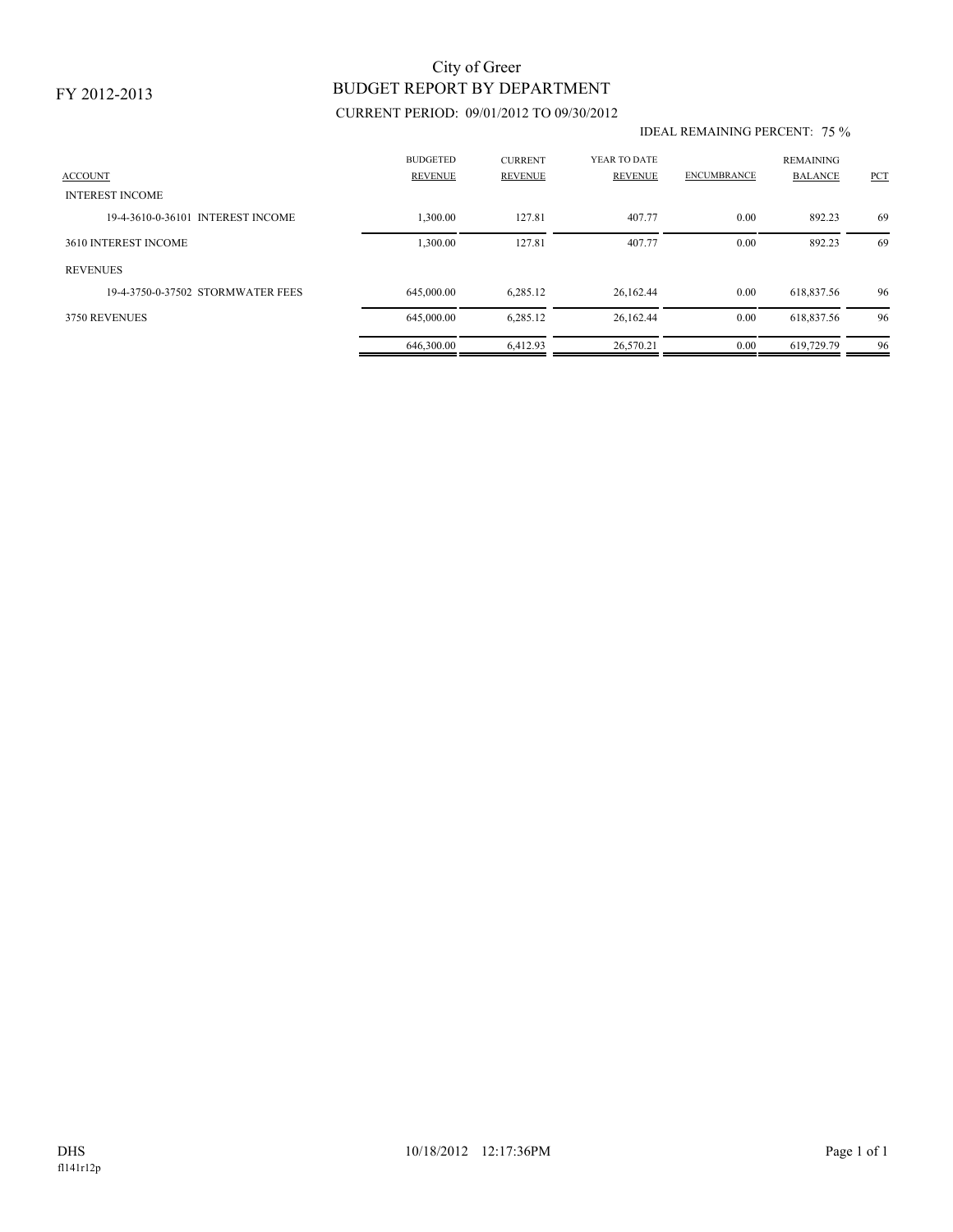# BUDGET REPORT BY DEPARTMENT City of Greer

### CURRENT PERIOD: 09/01/2012 TO 09/30/2012

#### IDEAL REMAINING PERCENT: 75 %

| <b>ACCOUNT</b><br><b>INTEREST INCOME</b> | <b>BUDGETED</b><br><b>REVENUE</b> | <b>CURRENT</b><br><b>REVENUE</b> | YEAR TO DATE<br>REVENUE | <b>ENCUMBRANCE</b> | <b>REMAINING</b><br><b>BALANCE</b> | PCT |
|------------------------------------------|-----------------------------------|----------------------------------|-------------------------|--------------------|------------------------------------|-----|
| 19-4-3610-0-36101 INTEREST INCOME        | 1.300.00                          | 127.81                           | 407.77                  | 0.00               | 892.23                             | -69 |
| 3610 INTEREST INCOME                     | 1,300.00                          | 127.81                           | 407.77                  | 0.00               | 892.23                             | 69  |
| <b>REVENUES</b>                          |                                   |                                  |                         |                    |                                    |     |
| 19-4-3750-0-37502 STORMWATER FEES        | 645,000.00                        | 6,285.12                         | 26,162.44               | 0.00               | 618,837.56                         | 96  |
| 3750 REVENUES                            | 645,000.00                        | 6,285.12                         | 26,162.44               | 0.00               | 618,837.56                         | 96  |
|                                          | 646,300.00                        | 6.412.93                         | 26.570.21               | 0.00               | 619.729.79                         | 96  |